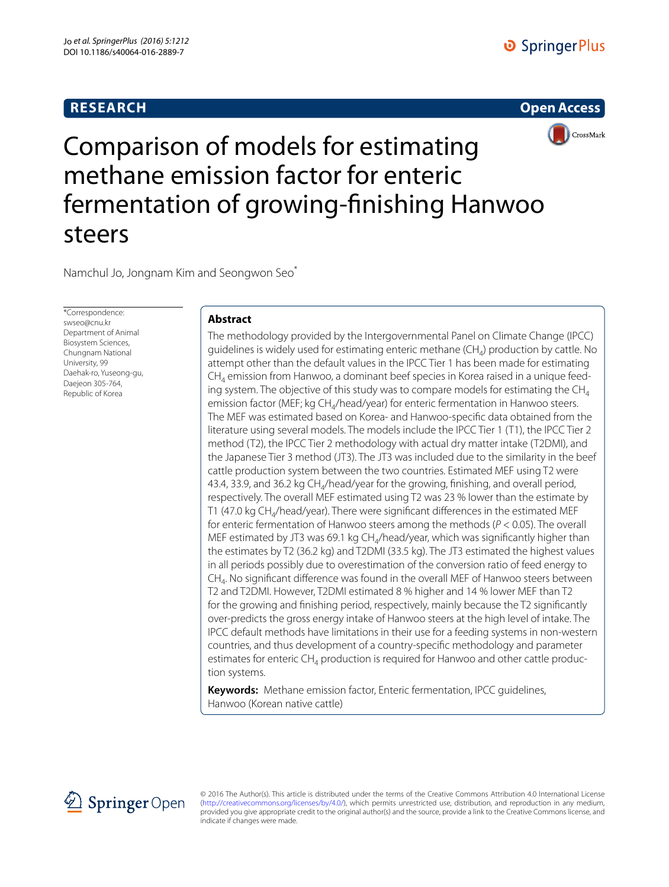# **RESEARCH**





Comparison of models for estimating methane emission factor for enteric fermentation of growing‑finishing Hanwoo steers

Namchul Jo, Jongnam Kim and Seongwon Seo\*

\*Correspondence: swseo@cnu.kr Department of Animal Biosystem Sciences, Chungnam National University, 99 Daehak-ro, Yuseong-gu, Daejeon 305-764, Republic of Korea

## **Abstract**

The methodology provided by the Intergovernmental Panel on Climate Change (IPCC) guidelines is widely used for estimating enteric methane  $(CH<sub>4</sub>)$  production by cattle. No attempt other than the default values in the IPCC Tier 1 has been made for estimating  $CH<sub>4</sub>$  emission from Hanwoo, a dominant beef species in Korea raised in a unique feeding system. The objective of this study was to compare models for estimating the  $CH<sub>4</sub>$ emission factor (MEF; kg CH<sub>4</sub>/head/year) for enteric fermentation in Hanwoo steers. The MEF was estimated based on Korea- and Hanwoo-specific data obtained from the literature using several models. The models include the IPCC Tier 1 (T1), the IPCC Tier 2 method (T2), the IPCC Tier 2 methodology with actual dry matter intake (T2DMI), and the Japanese Tier 3 method (JT3). The JT3 was included due to the similarity in the beef cattle production system between the two countries. Estimated MEF using T2 were 43.4, 33.9, and 36.2 kg  $CH<sub>4</sub>/$ head/year for the growing, finishing, and overall period, respectively. The overall MEF estimated using T2 was 23 % lower than the estimate by T1 (47.0 kg CH<sub>4</sub>/head/year). There were significant differences in the estimated MEF for enteric fermentation of Hanwoo steers among the methods (*P* < 0.05). The overall MEF estimated by JT3 was 69.1 kg  $CH<sub>4</sub>/$ head/year, which was significantly higher than the estimates by T2 (36.2 kg) and T2DMI (33.5 kg). The JT3 estimated the highest values in all periods possibly due to overestimation of the conversion ratio of feed energy to CH4. No significant difference was found in the overall MEF of Hanwoo steers between T2 and T2DMI. However, T2DMI estimated 8 % higher and 14 % lower MEF than T2 for the growing and finishing period, respectively, mainly because the T2 significantly over-predicts the gross energy intake of Hanwoo steers at the high level of intake. The IPCC default methods have limitations in their use for a feeding systems in non-western countries, and thus development of a country-specific methodology and parameter estimates for enteric  $CH_4$  production is required for Hanwoo and other cattle production systems.

**Keywords:** Methane emission factor, Enteric fermentation, IPCC guidelines, Hanwoo (Korean native cattle)



© 2016 The Author(s). This article is distributed under the terms of the Creative Commons Attribution 4.0 International License [\(http://creativecommons.org/licenses/by/4.0/](http://creativecommons.org/licenses/by/4.0/)), which permits unrestricted use, distribution, and reproduction in any medium, provided you give appropriate credit to the original author(s) and the source, provide a link to the Creative Commons license, and indicate if changes were made.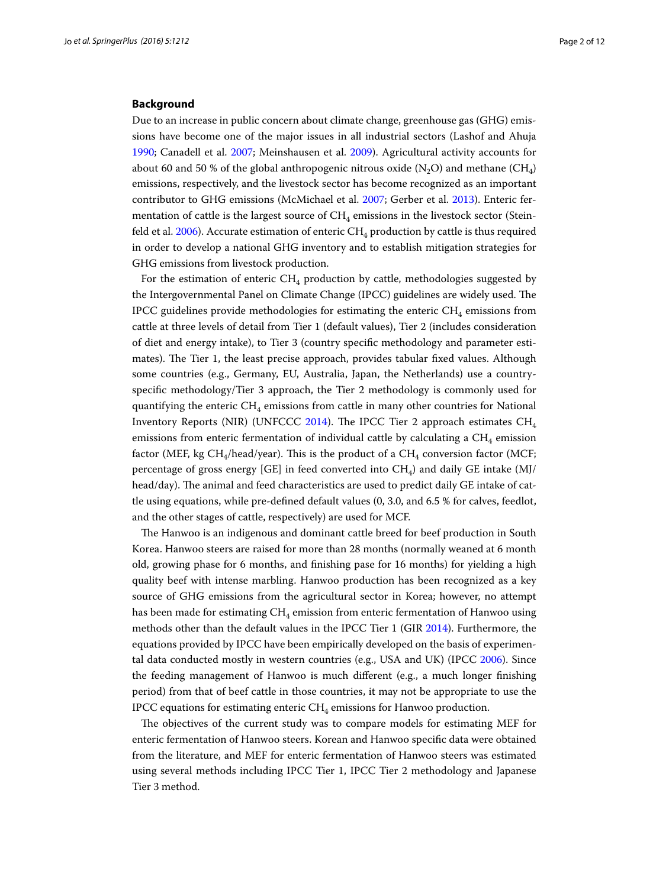### **Background**

Due to an increase in public concern about climate change, greenhouse gas (GHG) emissions have become one of the major issues in all industrial sectors (Lashof and Ahuja [1990](#page-10-0); Canadell et al. [2007](#page-10-1); Meinshausen et al. [2009](#page-10-2)). Agricultural activity accounts for about 60 and 50 % of the global anthropogenic nitrous oxide  $(N_2O)$  and methane  $(CH_4)$ emissions, respectively, and the livestock sector has become recognized as an important contributor to GHG emissions (McMichael et al. [2007](#page-10-3); Gerber et al. [2013](#page-10-4)). Enteric fermentation of cattle is the largest source of  $CH<sub>4</sub>$  emissions in the livestock sector (Stein-feld et al. [2006](#page-11-0)). Accurate estimation of enteric  $CH_4$  production by cattle is thus required in order to develop a national GHG inventory and to establish mitigation strategies for GHG emissions from livestock production.

For the estimation of enteric  $CH_4$  production by cattle, methodologies suggested by the Intergovernmental Panel on Climate Change (IPCC) guidelines are widely used. The IPCC guidelines provide methodologies for estimating the enteric  $CH<sub>4</sub>$  emissions from cattle at three levels of detail from Tier 1 (default values), Tier 2 (includes consideration of diet and energy intake), to Tier 3 (country specific methodology and parameter estimates). The Tier 1, the least precise approach, provides tabular fixed values. Although some countries (e.g., Germany, EU, Australia, Japan, the Netherlands) use a countryspecific methodology/Tier 3 approach, the Tier 2 methodology is commonly used for quantifying the enteric  $CH_4$  emissions from cattle in many other countries for National Inventory Reports (NIR) (UNFCCC [2014\)](#page-11-1). The IPCC Tier 2 approach estimates CH4 emissions from enteric fermentation of individual cattle by calculating a  $CH<sub>4</sub>$  emission factor (MEF, kg CH<sub>4</sub>/head/year). This is the product of a CH<sub>4</sub> conversion factor (MCF; percentage of gross energy [GE] in feed converted into  $CH<sub>a</sub>$ ) and daily GE intake (MJ/ head/day). The animal and feed characteristics are used to predict daily GE intake of cattle using equations, while pre-defined default values (0, 3.0, and 6.5 % for calves, feedlot, and the other stages of cattle, respectively) are used for MCF.

The Hanwoo is an indigenous and dominant cattle breed for beef production in South Korea. Hanwoo steers are raised for more than 28 months (normally weaned at 6 month old, growing phase for 6 months, and finishing pase for 16 months) for yielding a high quality beef with intense marbling. Hanwoo production has been recognized as a key source of GHG emissions from the agricultural sector in Korea; however, no attempt has been made for estimating  $CH<sub>4</sub>$  emission from enteric fermentation of Hanwoo using methods other than the default values in the IPCC Tier 1 (GIR [2014\)](#page-10-5). Furthermore, the equations provided by IPCC have been empirically developed on the basis of experimental data conducted mostly in western countries (e.g., USA and UK) (IPCC [2006](#page-10-6)). Since the feeding management of Hanwoo is much different (e.g., a much longer finishing period) from that of beef cattle in those countries, it may not be appropriate to use the IPCC equations for estimating enteric  $CH_4$  emissions for Hanwoo production.

The objectives of the current study was to compare models for estimating MEF for enteric fermentation of Hanwoo steers. Korean and Hanwoo specific data were obtained from the literature, and MEF for enteric fermentation of Hanwoo steers was estimated using several methods including IPCC Tier 1, IPCC Tier 2 methodology and Japanese Tier 3 method.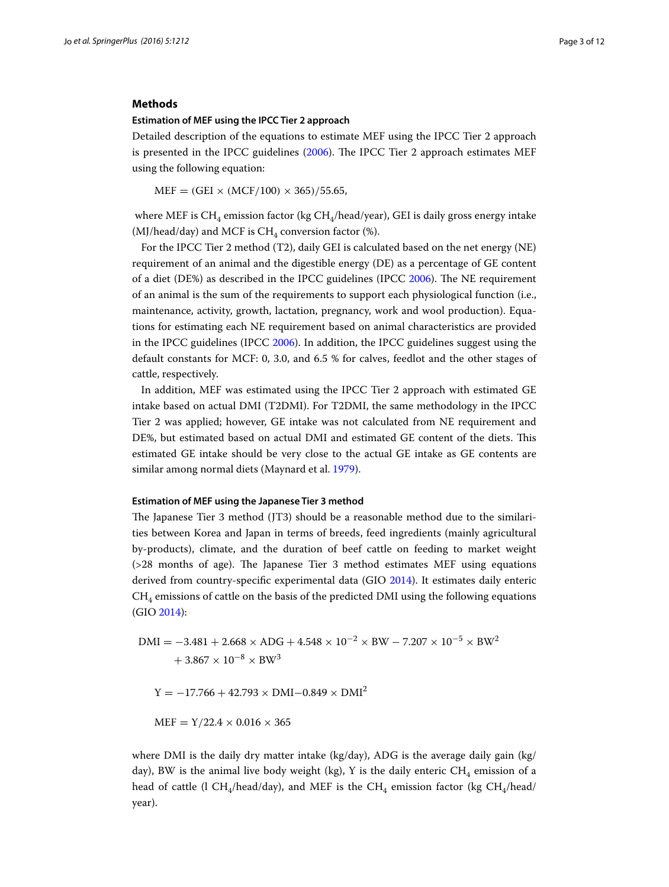## **Methods**

#### **Estimation of MEF using the IPCC Tier 2 approach**

Detailed description of the equations to estimate MEF using the IPCC Tier 2 approach is presented in the IPCC guidelines ([2006\)](#page-10-6). The IPCC Tier 2 approach estimates MEF using the following equation:

 $MEF = (GEI \times (MCF/100) \times 365)/55.65$ 

where MEF is  $CH_4$  emission factor (kg  $CH_4$ /head/year), GEI is daily gross energy intake (MJ/head/day) and MCF is  $CH<sub>4</sub>$  conversion factor (%).

For the IPCC Tier 2 method (T2), daily GEI is calculated based on the net energy (NE) requirement of an animal and the digestible energy (DE) as a percentage of GE content of a diet (DE%) as described in the IPCC guidelines (IPCC [2006\)](#page-10-6). The NE requirement of an animal is the sum of the requirements to support each physiological function (i.e., maintenance, activity, growth, lactation, pregnancy, work and wool production). Equations for estimating each NE requirement based on animal characteristics are provided in the IPCC guidelines (IPCC [2006](#page-10-6)). In addition, the IPCC guidelines suggest using the default constants for MCF: 0, 3.0, and 6.5 % for calves, feedlot and the other stages of cattle, respectively.

In addition, MEF was estimated using the IPCC Tier 2 approach with estimated GE intake based on actual DMI (T2DMI). For T2DMI, the same methodology in the IPCC Tier 2 was applied; however, GE intake was not calculated from NE requirement and DE%, but estimated based on actual DMI and estimated GE content of the diets. This estimated GE intake should be very close to the actual GE intake as GE contents are similar among normal diets (Maynard et al. [1979\)](#page-10-7).

## **Estimation of MEF using the Japanese Tier 3 method**

The Japanese Tier 3 method (JT3) should be a reasonable method due to the similarities between Korea and Japan in terms of breeds, feed ingredients (mainly agricultural by-products), climate, and the duration of beef cattle on feeding to market weight (>28 months of age). The Japanese Tier 3 method estimates MEF using equations derived from country-specific experimental data (GIO [2014\)](#page-10-8). It estimates daily enteric  $CH<sub>4</sub>$  emissions of cattle on the basis of the predicted DMI using the following equations (GIO [2014](#page-10-8)):

$$
DMI = -3.481 + 2.668 \times ADG + 4.548 \times 10^{-2} \times BW - 7.207 \times 10^{-5} \times BW^{2} + 3.867 \times 10^{-8} \times BW^{3}
$$

 $Y = -17.766 + 42.793 \times DMI - 0.849 \times DMI^2$ 

 $MEF = Y/22.4 \times 0.016 \times 365$ 

where DMI is the daily dry matter intake (kg/day), ADG is the average daily gain (kg/ day), BW is the animal live body weight (kg), Y is the daily enteric  $CH_4$  emission of a head of cattle (l CH<sub>4</sub>/head/day), and MEF is the CH<sub>4</sub> emission factor (kg CH<sub>4</sub>/head/ year).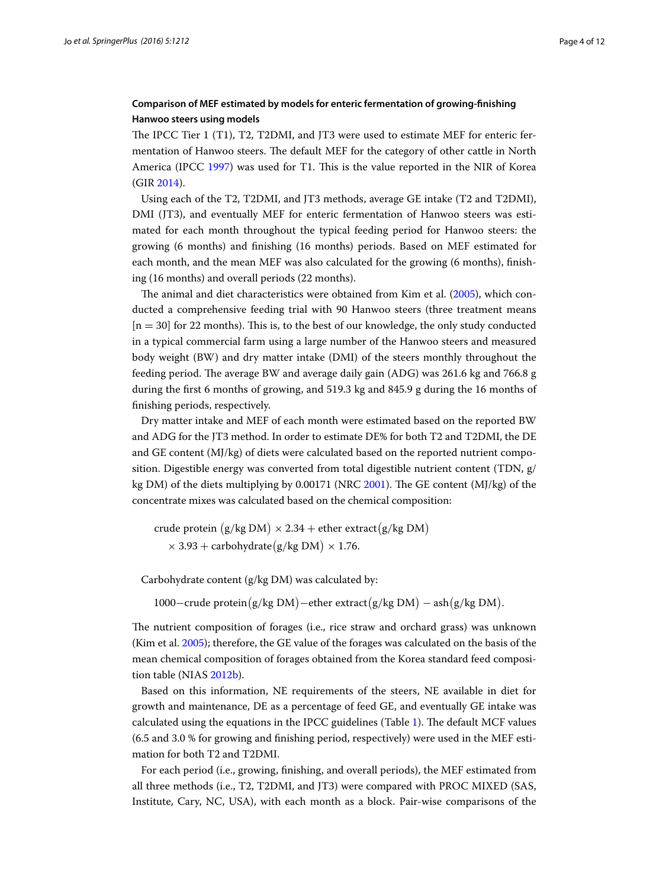## **Comparison of MEF estimated by models for enteric fermentation of growing‑finishing Hanwoo steers using models**

The IPCC Tier 1 (T1), T2, T2DMI, and JT3 were used to estimate MEF for enteric fermentation of Hanwoo steers. The default MEF for the category of other cattle in North America (IPCC [1997\)](#page-10-9) was used for T1. This is the value reported in the NIR of Korea (GIR [2014\)](#page-10-5).

Using each of the T2, T2DMI, and JT3 methods, average GE intake (T2 and T2DMI), DMI (JT3), and eventually MEF for enteric fermentation of Hanwoo steers was estimated for each month throughout the typical feeding period for Hanwoo steers: the growing (6 months) and finishing (16 months) periods. Based on MEF estimated for each month, and the mean MEF was also calculated for the growing (6 months), finishing (16 months) and overall periods (22 months).

The animal and diet characteristics were obtained from Kim et al. ([2005](#page-10-10)), which conducted a comprehensive feeding trial with 90 Hanwoo steers (three treatment means  $[n = 30]$  for 22 months). This is, to the best of our knowledge, the only study conducted in a typical commercial farm using a large number of the Hanwoo steers and measured body weight (BW) and dry matter intake (DMI) of the steers monthly throughout the feeding period. The average BW and average daily gain (ADG) was 261.6 kg and 766.8 g during the first 6 months of growing, and 519.3 kg and 845.9 g during the 16 months of finishing periods, respectively.

Dry matter intake and MEF of each month were estimated based on the reported BW and ADG for the JT3 method. In order to estimate DE% for both T2 and T2DMI, the DE and GE content (MJ/kg) of diets were calculated based on the reported nutrient composition. Digestible energy was converted from total digestible nutrient content (TDN, g/ kg DM) of the diets multiplying by 0.00171 (NRC [2001\)](#page-10-11). The GE content (MJ/kg) of the concentrate mixes was calculated based on the chemical composition:

crude protein  $(g/kg DM) \times 2.34 +$  ether extract $(g/kg DM)$  $\times$  3.93 + carbohydrate(g/kg DM)  $\times$  1.76.

Carbohydrate content (g/kg DM) was calculated by:

```
1000-crude protein(g/kg DM)-ether extract(g/kg DM) - ash(g/kg DM).
```
The nutrient composition of forages (i.e., rice straw and orchard grass) was unknown (Kim et al. [2005\)](#page-10-10); therefore, the GE value of the forages was calculated on the basis of the mean chemical composition of forages obtained from the Korea standard feed composition table (NIAS [2012b](#page-10-12)).

Based on this information, NE requirements of the steers, NE available in diet for growth and maintenance, DE as a percentage of feed GE, and eventually GE intake was calculated using the equations in the IPCC guidelines (Table [1\)](#page-4-0). The default MCF values (6.5 and 3.0 % for growing and finishing period, respectively) were used in the MEF estimation for both T2 and T2DMI.

For each period (i.e., growing, finishing, and overall periods), the MEF estimated from all three methods (i.e., T2, T2DMI, and JT3) were compared with PROC MIXED (SAS, Institute, Cary, NC, USA), with each month as a block. Pair-wise comparisons of the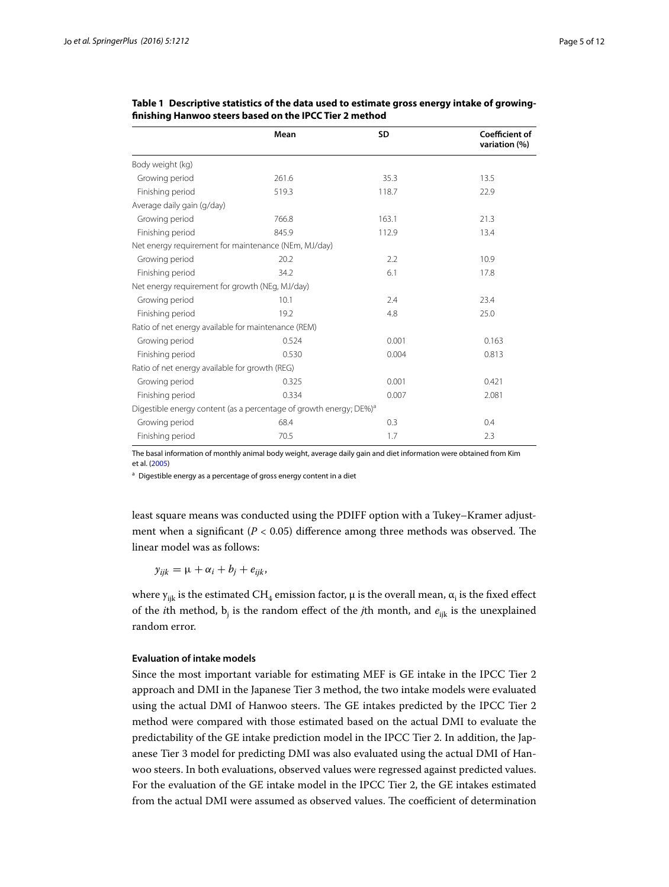|                                                      | Mean                                                                           | SD    | Coefficient of<br>variation (%) |
|------------------------------------------------------|--------------------------------------------------------------------------------|-------|---------------------------------|
| Body weight (kg)                                     |                                                                                |       |                                 |
| Growing period                                       | 261.6                                                                          | 35.3  | 13.5                            |
| Finishing period                                     | 519.3                                                                          | 118.7 | 22.9                            |
| Average daily gain (g/day)                           |                                                                                |       |                                 |
| Growing period                                       | 766.8                                                                          | 163.1 | 21.3                            |
| Finishing period                                     | 845.9                                                                          | 112.9 | 13.4                            |
| Net energy requirement for maintenance (NEm, MJ/day) |                                                                                |       |                                 |
| Growing period                                       | 20.2                                                                           | 2.2   | 10.9                            |
| Finishing period                                     | 34.2                                                                           | 6.1   | 17.8                            |
| Net energy requirement for growth (NEg, MJ/day)      |                                                                                |       |                                 |
| Growing period                                       | 10.1                                                                           | 2.4   | 23.4                            |
| Finishing period                                     | 19.2                                                                           | 4.8   | 25.0                            |
| Ratio of net energy available for maintenance (REM)  |                                                                                |       |                                 |
| Growing period                                       | 0.524                                                                          | 0.001 | 0.163                           |
| Finishing period                                     | 0.530                                                                          | 0.004 | 0.813                           |
| Ratio of net energy available for growth (REG)       |                                                                                |       |                                 |
| Growing period                                       | 0.325                                                                          | 0.001 | 0.421                           |
| Finishing period                                     | 0.334                                                                          | 0.007 | 2.081                           |
|                                                      | Digestible energy content (as a percentage of growth energy; DE%) <sup>a</sup> |       |                                 |
| Growing period                                       | 68.4                                                                           | 0.3   | 0.4                             |
| Finishing period                                     | 70.5                                                                           | 1.7   | 2.3                             |

<span id="page-4-0"></span>**Table 1 Descriptive statistics of the data used to estimate gross energy intake of growingfinishing Hanwoo steers based on the IPCC Tier 2 method**

The basal information of monthly animal body weight, average daily gain and diet information were obtained from Kim et al. ([2005](#page-10-10))

<sup>a</sup> Digestible energy as a percentage of gross energy content in a diet

least square means was conducted using the PDIFF option with a Tukey–Kramer adjustment when a significant (*P* < 0.05) difference among three methods was observed. The linear model was as follows:

 $y_{ijk} = \mu + \alpha_i + b_j + e_{ijk},$ 

where y<sub>ijk</sub> is the estimated CH<sub>4</sub> emission factor, μ is the overall mean,  $α_{i}$  is the fixed effect of the *i*th method,  $b_j$  is the random effect of the *j*th month, and  $e_{ijk}$  is the unexplained random error.

### **Evaluation of intake models**

Since the most important variable for estimating MEF is GE intake in the IPCC Tier 2 approach and DMI in the Japanese Tier 3 method, the two intake models were evaluated using the actual DMI of Hanwoo steers. The GE intakes predicted by the IPCC Tier 2 method were compared with those estimated based on the actual DMI to evaluate the predictability of the GE intake prediction model in the IPCC Tier 2. In addition, the Japanese Tier 3 model for predicting DMI was also evaluated using the actual DMI of Hanwoo steers. In both evaluations, observed values were regressed against predicted values. For the evaluation of the GE intake model in the IPCC Tier 2, the GE intakes estimated from the actual DMI were assumed as observed values. The coefficient of determination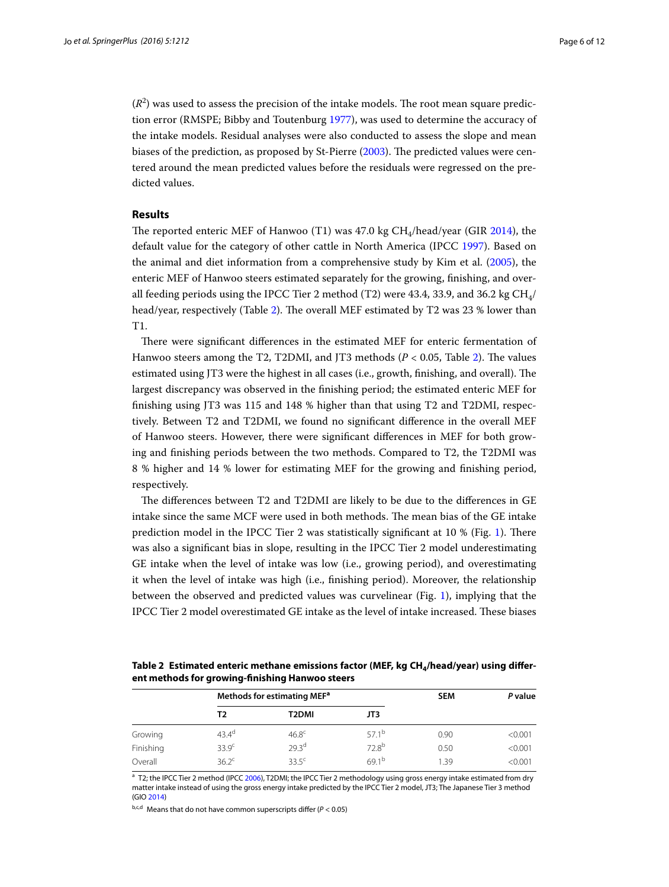$(R<sup>2</sup>)$  was used to assess the precision of the intake models. The root mean square prediction error (RMSPE; Bibby and Toutenburg [1977\)](#page-10-13), was used to determine the accuracy of the intake models. Residual analyses were also conducted to assess the slope and mean biases of the prediction, as proposed by St-Pierre [\(2003\)](#page-11-2). The predicted values were centered around the mean predicted values before the residuals were regressed on the predicted values.

### **Results**

The reported enteric MEF of Hanwoo (T1) was  $47.0 \text{ kg } CH_4$ /head/year (GIR [2014](#page-10-5)), the default value for the category of other cattle in North America (IPCC [1997\)](#page-10-9). Based on the animal and diet information from a comprehensive study by Kim et al. [\(2005\)](#page-10-10), the enteric MEF of Hanwoo steers estimated separately for the growing, finishing, and overall feeding periods using the IPCC Tier 2 method (T2) were 43.4, 33.9, and 36.2 kg  $CH<sub>4</sub>/$ head/year, respectively (Table [2](#page-5-0)). The overall MEF estimated by T2 was 23 % lower than T1.

There were significant differences in the estimated MEF for enteric fermentation of Hanwoo steers among the T2, T2DMI, and JT3 methods (*P* < 0.05, Table [2\)](#page-5-0). The values estimated using JT3 were the highest in all cases (i.e., growth, finishing, and overall). The largest discrepancy was observed in the finishing period; the estimated enteric MEF for finishing using JT3 was 115 and 148 % higher than that using T2 and T2DMI, respectively. Between T2 and T2DMI, we found no significant difference in the overall MEF of Hanwoo steers. However, there were significant differences in MEF for both growing and finishing periods between the two methods. Compared to T2, the T2DMI was 8 % higher and 14 % lower for estimating MEF for the growing and finishing period, respectively.

The differences between T2 and T2DMI are likely to be due to the differences in GE intake since the same MCF were used in both methods. The mean bias of the GE intake prediction model in the IPCC Tier 2 was statistically significant at 10 % (Fig. [1\)](#page-6-0). There was also a significant bias in slope, resulting in the IPCC Tier 2 model underestimating GE intake when the level of intake was low (i.e., growing period), and overestimating it when the level of intake was high (i.e., finishing period). Moreover, the relationship between the observed and predicted values was curvelinear (Fig. [1\)](#page-6-0), implying that the IPCC Tier 2 model overestimated GE intake as the level of intake increased. These biases

<span id="page-5-0"></span>Table 2 Estimated enteric methane emissions factor (MEF, kg CH<sub>4</sub>/head/year) using differ**ent methods for growing-finishing Hanwoo steers**

|           | Methods for estimating MEF <sup>a</sup> |                   |                   | <b>SEM</b> | P value |
|-----------|-----------------------------------------|-------------------|-------------------|------------|---------|
|           | Τ2                                      | T2DMI             | JT3               |            |         |
| Growing   | $43.4^{\circ}$                          | 46.8 <sup>c</sup> | 57.1 <sup>b</sup> | 0.90       | < 0.001 |
| Finishing | 33.9 <sup>c</sup>                       | 29.3 <sup>d</sup> | $72.8^{b}$        | 0.50       | < 0.001 |
| Overall   | 36.2 <sup>c</sup>                       | 33.5 <sup>c</sup> | 69.1 <sup>b</sup> | 1.39       | < 0.001 |

<sup>a</sup> T2; the IPCC Tier 2 method (IPCC [2006](#page-10-6)), T2DMI; the IPCC Tier 2 methodology using gross energy intake estimated from dry matter intake instead of using the gross energy intake predicted by the IPCC Tier 2 model, JT3; The Japanese Tier 3 method (GIO [2014](#page-10-8))

b,c,d Means that do not have common superscripts differ (*P* < 0.05)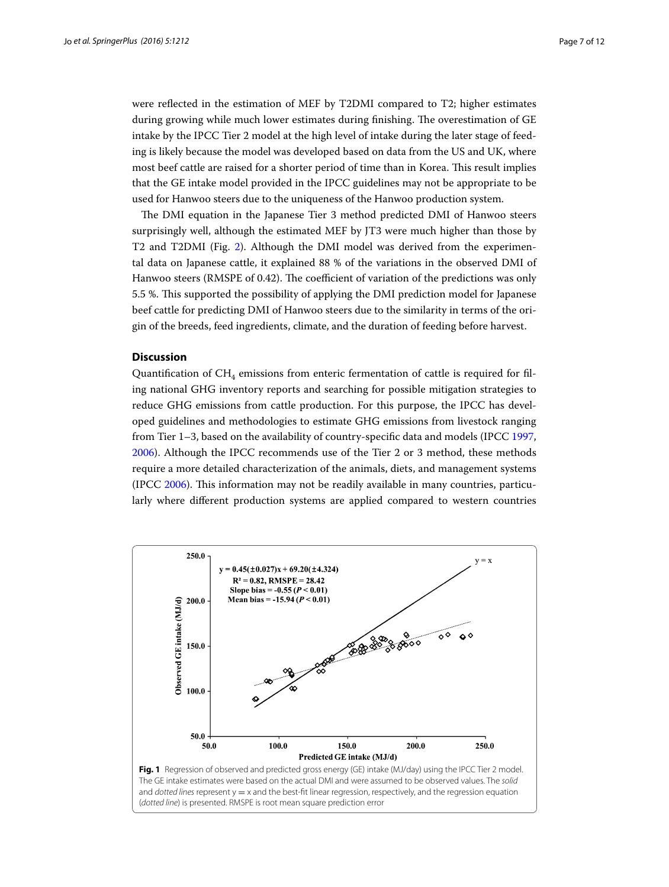were reflected in the estimation of MEF by T2DMI compared to T2; higher estimates during growing while much lower estimates during finishing. The overestimation of GE intake by the IPCC Tier 2 model at the high level of intake during the later stage of feeding is likely because the model was developed based on data from the US and UK, where most beef cattle are raised for a shorter period of time than in Korea. This result implies that the GE intake model provided in the IPCC guidelines may not be appropriate to be used for Hanwoo steers due to the uniqueness of the Hanwoo production system.

The DMI equation in the Japanese Tier 3 method predicted DMI of Hanwoo steers surprisingly well, although the estimated MEF by JT3 were much higher than those by T2 and T2DMI (Fig. [2\)](#page-7-0). Although the DMI model was derived from the experimental data on Japanese cattle, it explained 88 % of the variations in the observed DMI of Hanwoo steers (RMSPE of 0.42). The coefficient of variation of the predictions was only 5.5 %. This supported the possibility of applying the DMI prediction model for Japanese beef cattle for predicting DMI of Hanwoo steers due to the similarity in terms of the origin of the breeds, feed ingredients, climate, and the duration of feeding before harvest.

### **Discussion**

Quantification of  $CH<sub>4</sub>$  emissions from enteric fermentation of cattle is required for filing national GHG inventory reports and searching for possible mitigation strategies to reduce GHG emissions from cattle production. For this purpose, the IPCC has developed guidelines and methodologies to estimate GHG emissions from livestock ranging from Tier 1–3, based on the availability of country-specific data and models (IPCC [1997](#page-10-9), [2006](#page-10-6)). Although the IPCC recommends use of the Tier 2 or 3 method, these methods require a more detailed characterization of the animals, diets, and management systems (IPCC [2006](#page-10-6)). This information may not be readily available in many countries, particularly where different production systems are applied compared to western countries

<span id="page-6-0"></span>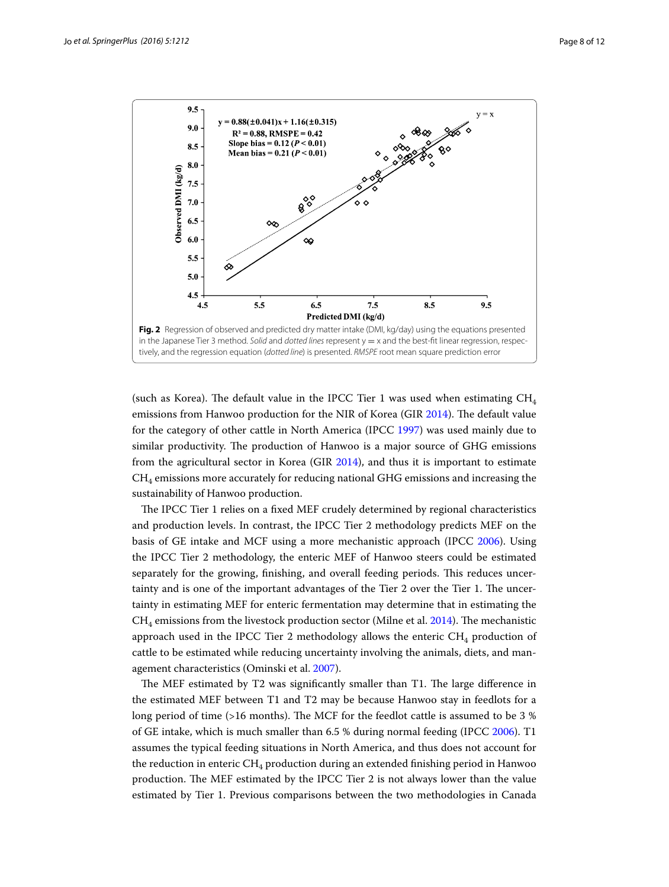

<span id="page-7-0"></span>(such as Korea). The default value in the IPCC Tier 1 was used when estimating  $CH<sub>4</sub>$ emissions from Hanwoo production for the NIR of Korea (GIR [2014\)](#page-10-5). The default value for the category of other cattle in North America (IPCC [1997\)](#page-10-9) was used mainly due to similar productivity. The production of Hanwoo is a major source of GHG emissions from the agricultural sector in Korea (GIR [2014\)](#page-10-5), and thus it is important to estimate  $CH<sub>4</sub>$  emissions more accurately for reducing national GHG emissions and increasing the sustainability of Hanwoo production.

The IPCC Tier 1 relies on a fixed MEF crudely determined by regional characteristics and production levels. In contrast, the IPCC Tier 2 methodology predicts MEF on the basis of GE intake and MCF using a more mechanistic approach (IPCC [2006\)](#page-10-6). Using the IPCC Tier 2 methodology, the enteric MEF of Hanwoo steers could be estimated separately for the growing, finishing, and overall feeding periods. This reduces uncertainty and is one of the important advantages of the Tier 2 over the Tier 1. The uncertainty in estimating MEF for enteric fermentation may determine that in estimating the  $CH<sub>4</sub>$  emissions from the livestock production sector (Milne et al. [2014\)](#page-10-14). The mechanistic approach used in the IPCC Tier 2 methodology allows the enteric  $CH<sub>4</sub>$  production of cattle to be estimated while reducing uncertainty involving the animals, diets, and management characteristics (Ominski et al. [2007](#page-10-15)).

The MEF estimated by T2 was significantly smaller than T1. The large difference in the estimated MEF between T1 and T2 may be because Hanwoo stay in feedlots for a long period of time (>16 months). The MCF for the feedlot cattle is assumed to be 3 % of GE intake, which is much smaller than 6.5 % during normal feeding (IPCC [2006](#page-10-6)). T1 assumes the typical feeding situations in North America, and thus does not account for the reduction in enteric CH<sub>4</sub> production during an extended finishing period in Hanwoo production. The MEF estimated by the IPCC Tier 2 is not always lower than the value estimated by Tier 1. Previous comparisons between the two methodologies in Canada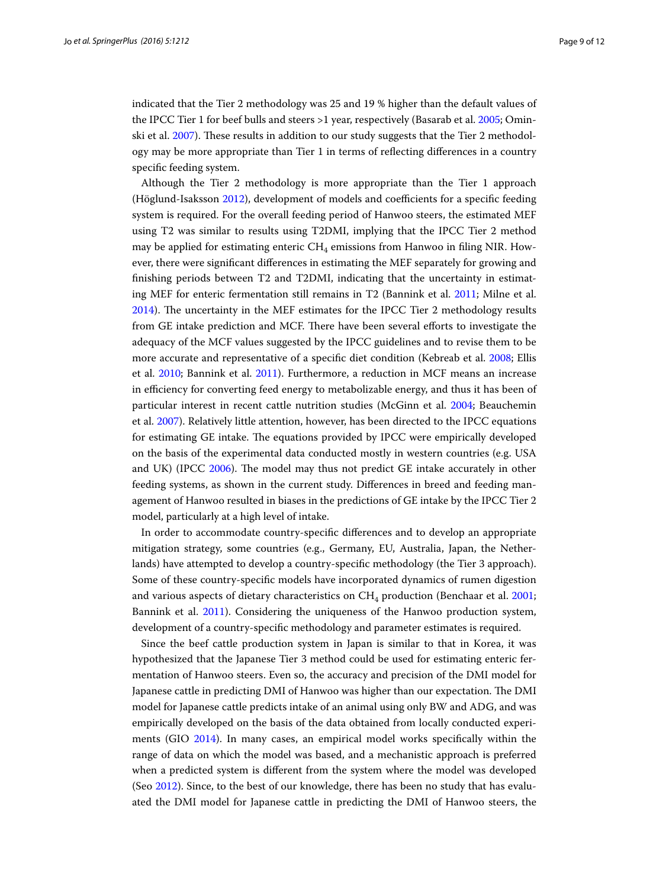indicated that the Tier 2 methodology was 25 and 19 % higher than the default values of the IPCC Tier 1 for beef bulls and steers >1 year, respectively (Basarab et al. [2005;](#page-10-16) Ominski et al. [2007](#page-10-15)). These results in addition to our study suggests that the Tier 2 methodology may be more appropriate than Tier 1 in terms of reflecting differences in a country specific feeding system.

Although the Tier 2 methodology is more appropriate than the Tier 1 approach (Höglund-Isaksson [2012\)](#page-10-17), development of models and coefficients for a specific feeding system is required. For the overall feeding period of Hanwoo steers, the estimated MEF using T2 was similar to results using T2DMI, implying that the IPCC Tier 2 method may be applied for estimating enteric  $CH<sub>4</sub>$  emissions from Hanwoo in filing NIR. However, there were significant differences in estimating the MEF separately for growing and finishing periods between T2 and T2DMI, indicating that the uncertainty in estimating MEF for enteric fermentation still remains in T2 (Bannink et al. [2011](#page-10-18); Milne et al. [2014](#page-10-14)). The uncertainty in the MEF estimates for the IPCC Tier 2 methodology results from GE intake prediction and MCF. There have been several efforts to investigate the adequacy of the MCF values suggested by the IPCC guidelines and to revise them to be more accurate and representative of a specific diet condition (Kebreab et al. [2008](#page-10-19); Ellis et al. [2010;](#page-10-20) Bannink et al. [2011](#page-10-18)). Furthermore, a reduction in MCF means an increase in efficiency for converting feed energy to metabolizable energy, and thus it has been of particular interest in recent cattle nutrition studies (McGinn et al. [2004;](#page-10-21) Beauchemin et al. [2007](#page-10-22)). Relatively little attention, however, has been directed to the IPCC equations for estimating GE intake. The equations provided by IPCC were empirically developed on the basis of the experimental data conducted mostly in western countries (e.g. USA and UK) (IPCC [2006\)](#page-10-6). The model may thus not predict GE intake accurately in other feeding systems, as shown in the current study. Differences in breed and feeding management of Hanwoo resulted in biases in the predictions of GE intake by the IPCC Tier 2 model, particularly at a high level of intake.

In order to accommodate country-specific differences and to develop an appropriate mitigation strategy, some countries (e.g., Germany, EU, Australia, Japan, the Netherlands) have attempted to develop a country-specific methodology (the Tier 3 approach). Some of these country-specific models have incorporated dynamics of rumen digestion and various aspects of dietary characteristics on  $CH<sub>4</sub>$  production (Benchaar et al. [2001](#page-10-23); Bannink et al. [2011](#page-10-18)). Considering the uniqueness of the Hanwoo production system, development of a country-specific methodology and parameter estimates is required.

Since the beef cattle production system in Japan is similar to that in Korea, it was hypothesized that the Japanese Tier 3 method could be used for estimating enteric fermentation of Hanwoo steers. Even so, the accuracy and precision of the DMI model for Japanese cattle in predicting DMI of Hanwoo was higher than our expectation. The DMI model for Japanese cattle predicts intake of an animal using only BW and ADG, and was empirically developed on the basis of the data obtained from locally conducted experiments (GIO [2014](#page-10-8)). In many cases, an empirical model works specifically within the range of data on which the model was based, and a mechanistic approach is preferred when a predicted system is different from the system where the model was developed (Seo [2012](#page-10-24)). Since, to the best of our knowledge, there has been no study that has evaluated the DMI model for Japanese cattle in predicting the DMI of Hanwoo steers, the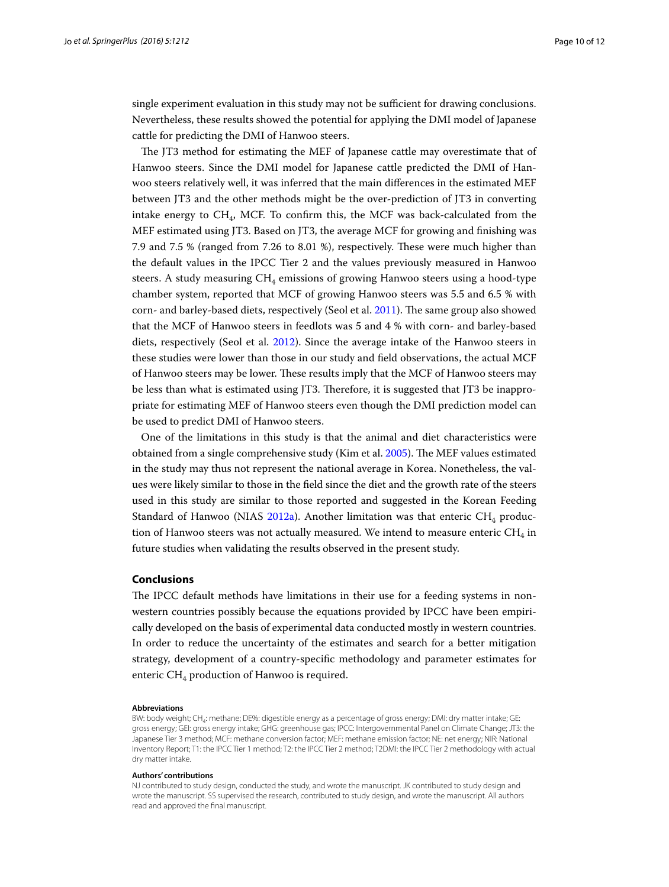single experiment evaluation in this study may not be sufficient for drawing conclusions. Nevertheless, these results showed the potential for applying the DMI model of Japanese cattle for predicting the DMI of Hanwoo steers.

The JT3 method for estimating the MEF of Japanese cattle may overestimate that of Hanwoo steers. Since the DMI model for Japanese cattle predicted the DMI of Hanwoo steers relatively well, it was inferred that the main differences in the estimated MEF between JT3 and the other methods might be the over-prediction of JT3 in converting intake energy to  $CH<sub>4</sub>$ , MCF. To confirm this, the MCF was back-calculated from the MEF estimated using JT3. Based on JT3, the average MCF for growing and finishing was 7.9 and 7.5 % (ranged from 7.26 to 8.01 %), respectively. These were much higher than the default values in the IPCC Tier 2 and the values previously measured in Hanwoo steers. A study measuring  $CH_4$  emissions of growing Hanwoo steers using a hood-type chamber system, reported that MCF of growing Hanwoo steers was 5.5 and 6.5 % with corn- and barley-based diets, respectively (Seol et al. [2011](#page-10-25)). The same group also showed that the MCF of Hanwoo steers in feedlots was 5 and 4 % with corn- and barley-based diets, respectively (Seol et al. [2012\)](#page-10-26). Since the average intake of the Hanwoo steers in these studies were lower than those in our study and field observations, the actual MCF of Hanwoo steers may be lower. These results imply that the MCF of Hanwoo steers may be less than what is estimated using JT3. Therefore, it is suggested that JT3 be inappropriate for estimating MEF of Hanwoo steers even though the DMI prediction model can be used to predict DMI of Hanwoo steers.

One of the limitations in this study is that the animal and diet characteristics were obtained from a single comprehensive study (Kim et al. [2005\)](#page-10-10). The MEF values estimated in the study may thus not represent the national average in Korea. Nonetheless, the values were likely similar to those in the field since the diet and the growth rate of the steers used in this study are similar to those reported and suggested in the Korean Feeding Standard of Hanwoo (NIAS [2012a](#page-10-27)). Another limitation was that enteric  $CH_4$  production of Hanwoo steers was not actually measured. We intend to measure enteric  $CH_4$  in future studies when validating the results observed in the present study.

## **Conclusions**

The IPCC default methods have limitations in their use for a feeding systems in nonwestern countries possibly because the equations provided by IPCC have been empirically developed on the basis of experimental data conducted mostly in western countries. In order to reduce the uncertainty of the estimates and search for a better mitigation strategy, development of a country-specific methodology and parameter estimates for enteric  $CH<sub>4</sub>$  production of Hanwoo is required.

#### **Abbreviations**

BW: body weight; CH<sub>4</sub>: methane; DE%: digestible energy as a percentage of gross energy; DMI: dry matter intake; GE: gross energy; GEI: gross energy intake; GHG: greenhouse gas; IPCC: Intergovernmental Panel on Climate Change; JT3: the Japanese Tier 3 method; MCF: methane conversion factor; MEF: methane emission factor; NE: net energy; NIR: National Inventory Report; T1: the IPCC Tier 1 method; T2: the IPCC Tier 2 method; T2DMI: the IPCC Tier 2 methodology with actual dry matter intake.

#### **Authors' contributions**

NJ contributed to study design, conducted the study, and wrote the manuscript. JK contributed to study design and wrote the manuscript. SS supervised the research, contributed to study design, and wrote the manuscript. All authors read and approved the final manuscript.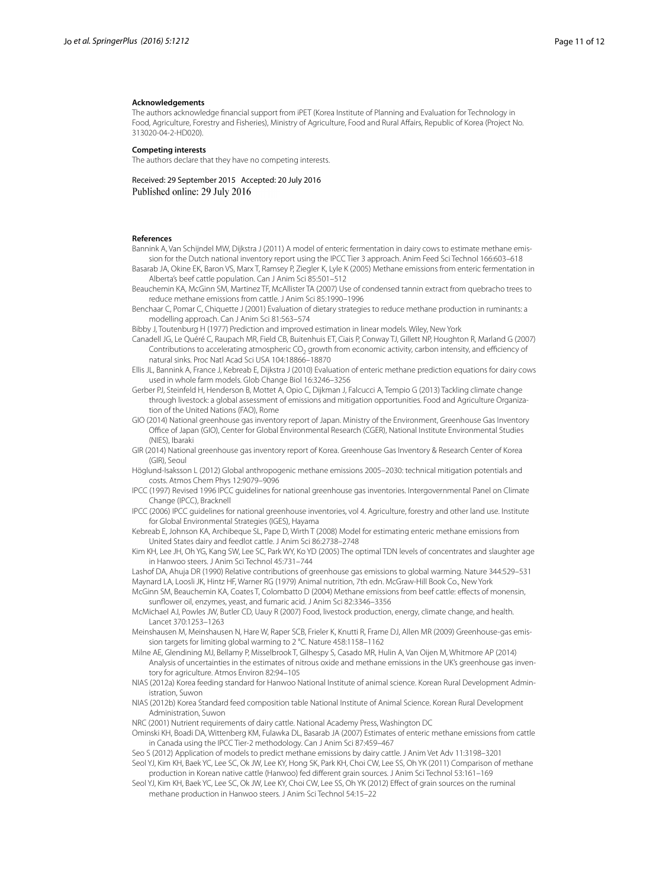#### **Acknowledgements**

The authors acknowledge financial support from iPET (Korea Institute of Planning and Evaluation for Technology in Food, Agriculture, Forestry and Fisheries), Ministry of Agriculture, Food and Rural Affairs, Republic of Korea (Project No. 313020-04-2-HD020).

#### **Competing interests**

The authors declare that they have no competing interests.

Received: 29 September 2015 Accepted: 20 July 2016 Published online: 29 July 2016

#### **References**

<span id="page-10-18"></span>Bannink A, Van Schijndel MW, Dijkstra J (2011) A model of enteric fermentation in dairy cows to estimate methane emission for the Dutch national inventory report using the IPCC Tier 3 approach. Anim Feed Sci Technol 166:603–618

<span id="page-10-16"></span>Basarab JA, Okine EK, Baron VS, Marx T, Ramsey P, Ziegler K, Lyle K (2005) Methane emissions from enteric fermentation in Alberta's beef cattle population. Can J Anim Sci 85:501–512

<span id="page-10-22"></span>Beauchemin KA, McGinn SM, Martinez TF, McAllister TA (2007) Use of condensed tannin extract from quebracho trees to reduce methane emissions from cattle. J Anim Sci 85:1990–1996

<span id="page-10-23"></span>Benchaar C, Pomar C, Chiquette J (2001) Evaluation of dietary strategies to reduce methane production in ruminants: a modelling approach. Can J Anim Sci 81:563–574

<span id="page-10-13"></span>Bibby J, Toutenburg H (1977) Prediction and improved estimation in linear models. Wiley, New York

<span id="page-10-1"></span>Canadell JG, Le Quéré C, Raupach MR, Field CB, Buitenhuis ET, Ciais P, Conway TJ, Gillett NP, Houghton R, Marland G (2007) Contributions to accelerating atmospheric CO<sub>2</sub> growth from economic activity, carbon intensity, and efficiency of natural sinks. Proc Natl Acad Sci USA 104:18866–18870

<span id="page-10-20"></span>Ellis JL, Bannink A, France J, Kebreab E, Dijkstra J (2010) Evaluation of enteric methane prediction equations for dairy cows used in whole farm models. Glob Change Biol 16:3246–3256

<span id="page-10-4"></span>Gerber PJ, Steinfeld H, Henderson B, Mottet A, Opio C, Dijkman J, Falcucci A, Tempio G (2013) Tackling climate change through livestock: a global assessment of emissions and mitigation opportunities. Food and Agriculture Organization of the United Nations (FAO), Rome

<span id="page-10-8"></span>GIO (2014) National greenhouse gas inventory report of Japan. Ministry of the Environment, Greenhouse Gas Inventory Office of Japan (GIO), Center for Global Environmental Research (CGER), National Institute Environmental Studies (NIES), Ibaraki

<span id="page-10-5"></span>GIR (2014) National greenhouse gas inventory report of Korea. Greenhouse Gas Inventory & Research Center of Korea (GIR), Seoul

<span id="page-10-17"></span>Höglund-Isaksson L (2012) Global anthropogenic methane emissions 2005–2030: technical mitigation potentials and costs. Atmos Chem Phys 12:9079–9096

- <span id="page-10-9"></span>IPCC (1997) Revised 1996 IPCC guidelines for national greenhouse gas inventories. Intergovernmental Panel on Climate Change (IPCC), Bracknell
- <span id="page-10-6"></span>IPCC (2006) IPCC guidelines for national greenhouse inventories, vol 4. Agriculture, forestry and other land use. Institute for Global Environmental Strategies (IGES), Hayama

<span id="page-10-19"></span>Kebreab E, Johnson KA, Archibeque SL, Pape D, Wirth T (2008) Model for estimating enteric methane emissions from United States dairy and feedlot cattle. J Anim Sci 86:2738–2748

<span id="page-10-10"></span>Kim KH, Lee JH, Oh YG, Kang SW, Lee SC, Park WY, Ko YD (2005) The optimal TDN levels of concentrates and slaughter age in Hanwoo steers. J Anim Sci Technol 45:731–744

<span id="page-10-7"></span><span id="page-10-0"></span>Lashof DA, Ahuja DR (1990) Relative contributions of greenhouse gas emissions to global warming. Nature 344:529–531 Maynard LA, Loosli JK, Hintz HF, Warner RG (1979) Animal nutrition, 7th edn. McGraw-Hill Book Co., New York

<span id="page-10-21"></span>McGinn SM, Beauchemin KA, Coates T, Colombatto D (2004) Methane emissions from beef cattle: effects of monensin, sunflower oil, enzymes, yeast, and fumaric acid. J Anim Sci 82:3346–3356

<span id="page-10-3"></span>McMichael AJ, Powles JW, Butler CD, Uauy R (2007) Food, livestock production, energy, climate change, and health. Lancet 370:1253–1263

<span id="page-10-2"></span>Meinshausen M, Meinshausen N, Hare W, Raper SCB, Frieler K, Knutti R, Frame DJ, Allen MR (2009) Greenhouse-gas emission targets for limiting global warming to 2 °C. Nature 458:1158–1162

<span id="page-10-14"></span>Milne AE, Glendining MJ, Bellamy P, Misselbrook T, Gilhespy S, Casado MR, Hulin A, Van Oijen M, Whitmore AP (2014) Analysis of uncertainties in the estimates of nitrous oxide and methane emissions in the UK's greenhouse gas inventory for agriculture. Atmos Environ 82:94–105

<span id="page-10-27"></span>NIAS (2012a) Korea feeding standard for Hanwoo National Institute of animal science. Korean Rural Development Administration, Suwon

<span id="page-10-12"></span>NIAS (2012b) Korea Standard feed composition table National Institute of Animal Science. Korean Rural Development Administration, Suwon

<span id="page-10-11"></span>NRC (2001) Nutrient requirements of dairy cattle. National Academy Press, Washington DC

<span id="page-10-15"></span>Ominski KH, Boadi DA, Wittenberg KM, Fulawka DL, Basarab JA (2007) Estimates of enteric methane emissions from cattle in Canada using the IPCC Tier-2 methodology. Can J Anim Sci 87:459–467

<span id="page-10-24"></span>Seo S (2012) Application of models to predict methane emissions by dairy cattle. J Anim Vet Adv 11:3198–3201

<span id="page-10-25"></span>Seol YJ, Kim KH, Baek YC, Lee SC, Ok JW, Lee KY, Hong SK, Park KH, Choi CW, Lee SS, Oh YK (2011) Comparison of methane production in Korean native cattle (Hanwoo) fed different grain sources. J Anim Sci Technol 53:161–169

<span id="page-10-26"></span>Seol YJ, Kim KH, Baek YC, Lee SC, Ok JW, Lee KY, Choi CW, Lee SS, Oh YK (2012) Effect of grain sources on the ruminal methane production in Hanwoo steers. J Anim Sci Technol 54:15–22